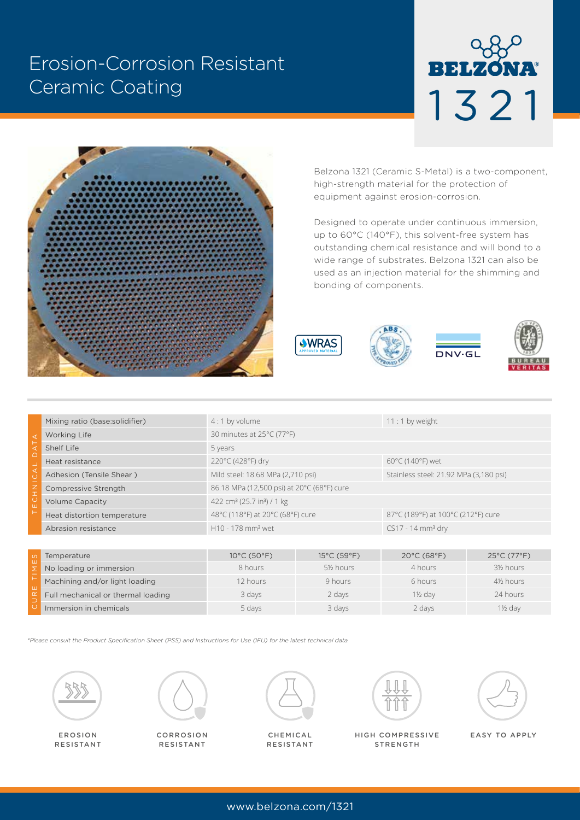# Erosion-Corrosion Resistant Ceramic Coating





Belzona 1321 (Ceramic S-Metal) is a two-component, high-strength material for the protection of equipment against erosion-corrosion.

Designed to operate under continuous immersion, up to 60°C (140°F), this solvent-free system has outstanding chemical resistance and will bond to a wide range of substrates. Belzona 1321 can also be used as an injection material for the shimming and bonding of components.







| ◁<br>Ċ<br>ш | Mixing ratio (base:solidifier) | $4:1$ by volume                                    | $11:1$ by weight                       |  |  |
|-------------|--------------------------------|----------------------------------------------------|----------------------------------------|--|--|
|             | <b>Working Life</b>            | 30 minutes at 25°C (77°F)                          |                                        |  |  |
|             | Shelf Life                     | 5 years                                            |                                        |  |  |
|             | Heat resistance                | 220°C (428°F) dry                                  | $60^{\circ}$ C (140°F) wet             |  |  |
|             | Adhesion (Tensile Shear)       | Mild steel: 18.68 MPa (2,710 psi)                  | Stainless steel: 21.92 MPa (3,180 psi) |  |  |
|             | Compressive Strength           | 86.18 MPa (12,500 psi) at 20°C (68°F) cure         |                                        |  |  |
|             | <b>Volume Capacity</b>         | 422 cm <sup>3</sup> (25.7 in <sup>3</sup> ) / 1 kg |                                        |  |  |
|             | Heat distortion temperature    | 48°C (118°F) at 20°C (68°F) cure                   | 87°C (189°F) at 100°C (212°F) cure     |  |  |
|             | Abrasion resistance            | H <sub>10</sub> - 178 mm <sup>3</sup> wet          | $CS17 - 14$ mm <sup>3</sup> dry        |  |  |
|             |                                |                                                    |                                        |  |  |

| Temperature                        | $10^{\circ}$ C (50 $^{\circ}$ F) | $15^{\circ}$ C (59 $^{\circ}$ F) | $20^{\circ}$ C (68 $^{\circ}$ F) | $25^{\circ}$ C (77 $^{\circ}$ F)    |
|------------------------------------|----------------------------------|----------------------------------|----------------------------------|-------------------------------------|
| No loading or immersion            | 8 hours                          | 5½ hours                         | 4 hours                          | 3½ hours                            |
| Machining and/or light loading     | 12 hours                         | 9 hours                          | 6 hours                          | 4 <sup>1</sup> / <sub>2</sub> hours |
| Full mechanical or thermal loading | 3 days                           | 2 days                           | $1\frac{1}{2}$ dav               | 24 hours                            |
| Immersion in chemicals             | 5 days                           | 3 days                           | 2 days                           | 1½ dav                              |

*\*Please consult the Product Specification Sheet (PSS) and Instructions for Use (IFU) for the latest technical data.*



EROSION RESISTANT



**CORROSION** RESISTANT



RESISTANT



HIGH COMPRESSIVE CHEMICAL EASY TO APPLY **STRENGTH**